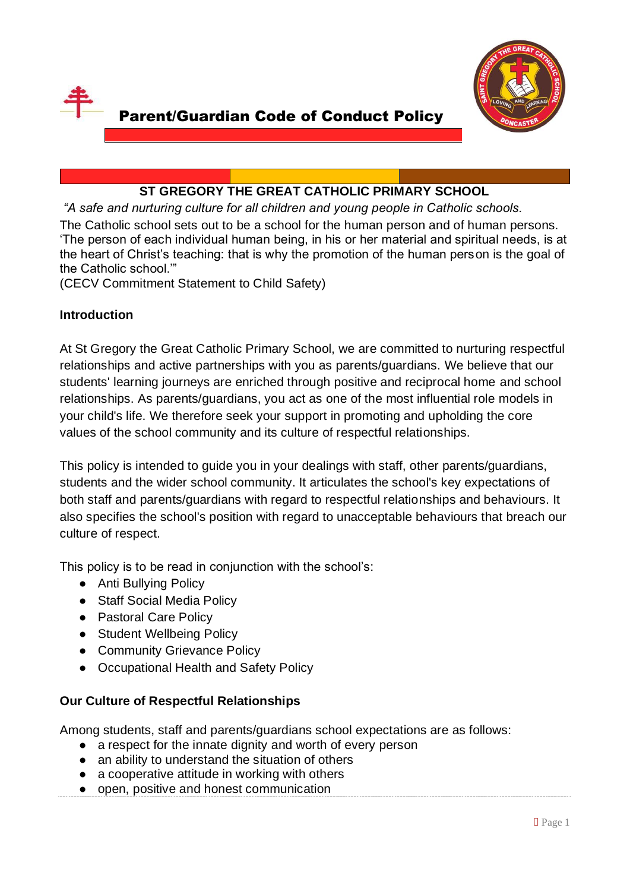



# Parent/Guardian Code of Conduct Policy

# **ST GREGORY THE GREAT CATHOLIC PRIMARY SCHOOL**

*"A safe and nurturing culture for all children and young people in Catholic schools.* The Catholic school sets out to be a school for the human person and of human persons. 'The person of each individual human being, in his or her material and spiritual needs, is at the heart of Christ's teaching: that is why the promotion of the human person is the goal of the Catholic school.'"

(CECV Commitment Statement to Child Safety)

### **Introduction**

At St Gregory the Great Catholic Primary School, we are committed to nurturing respectful relationships and active partnerships with you as parents/guardians. We believe that our students' learning journeys are enriched through positive and reciprocal home and school relationships. As parents/guardians, you act as one of the most influential role models in your child's life. We therefore seek your support in promoting and upholding the core values of the school community and its culture of respectful relationships.

This policy is intended to guide you in your dealings with staff, other parents/guardians, students and the wider school community. It articulates the school's key expectations of both staff and parents/guardians with regard to respectful relationships and behaviours. It also specifies the school's position with regard to unacceptable behaviours that breach our culture of respect.

This policy is to be read in conjunction with the school's:

- Anti Bullying Policy
- Staff Social Media Policy
- Pastoral Care Policy
- Student Wellbeing Policy
- Community Grievance Policy
- Occupational Health and Safety Policy

### **Our Culture of Respectful Relationships**

Among students, staff and parents/guardians school expectations are as follows:

- a respect for the innate dignity and worth of every person
- an ability to understand the situation of others
- a cooperative attitude in working with others
- open, positive and honest communication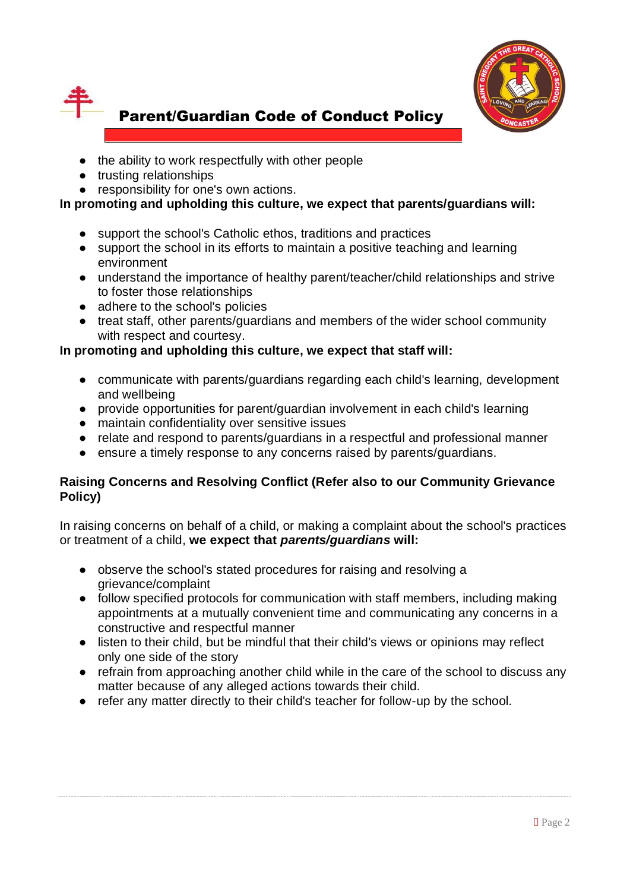



- the ability to work respectfully with other people
- trusting relationships
- responsibility for one's own actions.

# **In promoting and upholding this culture, we expect that parents/guardians will:**

- support the school's Catholic ethos, traditions and practices
- support the school in its efforts to maintain a positive teaching and learning environment
- understand the importance of healthy parent/teacher/child relationships and strive to foster those relationships
- adhere to the school's policies
- treat staff, other parents/guardians and members of the wider school community with respect and courtesy.

# **In promoting and upholding this culture, we expect that staff will:**

- communicate with parents/guardians regarding each child's learning, development and wellbeing
- provide opportunities for parent/guardian involvement in each child's learning
- maintain confidentiality over sensitive issues
- relate and respond to parents/guardians in a respectful and professional manner
- ensure a timely response to any concerns raised by parents/guardians.

### **Raising Concerns and Resolving Conflict (Refer also to our Community Grievance Policy)**

In raising concerns on behalf of a child, or making a complaint about the school's practices or treatment of a child, **we expect that** *parents/guardians* **will:**

- observe the school's stated procedures for raising and resolving a grievance/complaint
- follow specified protocols for communication with staff members, including making appointments at a mutually convenient time and communicating any concerns in a constructive and respectful manner
- listen to their child, but be mindful that their child's views or opinions may reflect only one side of the story
- refrain from approaching another child while in the care of the school to discuss any matter because of any alleged actions towards their child.
- refer any matter directly to their child's teacher for follow-up by the school.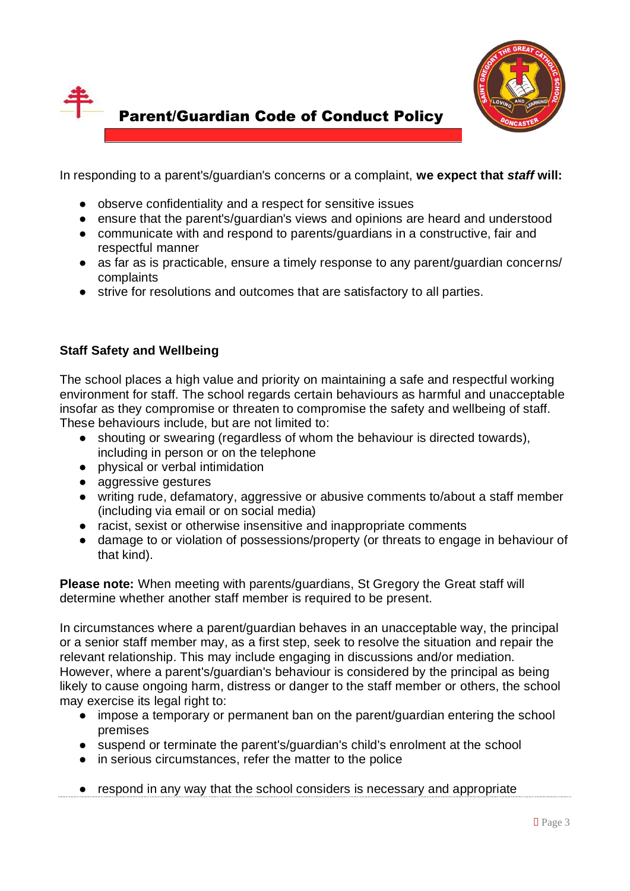



In responding to a parent's/guardian's concerns or a complaint, **we expect that** *staff* **will:**

- observe confidentiality and a respect for sensitive issues
- ensure that the parent's/guardian's views and opinions are heard and understood
- communicate with and respond to parents/guardians in a constructive, fair and respectful manner
- as far as is practicable, ensure a timely response to any parent/guardian concerns/ complaints
- strive for resolutions and outcomes that are satisfactory to all parties.

#### **Staff Safety and Wellbeing**

The school places a high value and priority on maintaining a safe and respectful working environment for staff. The school regards certain behaviours as harmful and unacceptable insofar as they compromise or threaten to compromise the safety and wellbeing of staff. These behaviours include, but are not limited to:

- shouting or swearing (regardless of whom the behaviour is directed towards), including in person or on the telephone
- physical or verbal intimidation
- aggressive gestures
- writing rude, defamatory, aggressive or abusive comments to/about a staff member (including via email or on social media)
- racist, sexist or otherwise insensitive and inappropriate comments
- damage to or violation of possessions/property (or threats to engage in behaviour of that kind).

**Please note:** When meeting with parents/guardians, St Gregory the Great staff will determine whether another staff member is required to be present.

In circumstances where a parent/guardian behaves in an unacceptable way, the principal or a senior staff member may, as a first step, seek to resolve the situation and repair the relevant relationship. This may include engaging in discussions and/or mediation. However, where a parent's/guardian's behaviour is considered by the principal as being likely to cause ongoing harm, distress or danger to the staff member or others, the school may exercise its legal right to:

- impose a temporary or permanent ban on the parent/guardian entering the school premises
- suspend or terminate the parent's/guardian's child's enrolment at the school
- in serious circumstances, refer the matter to the police
- respond in any way that the school considers is necessary and appropriate